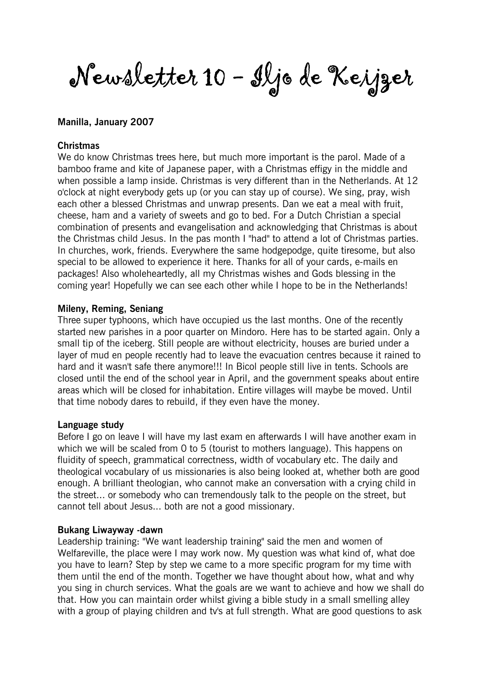Newsletter 10 - Iljo de Keijzer

### Manilla, January 2007

#### **Christmas**

We do know Christmas trees here, but much more important is the parol. Made of a bamboo frame and kite of Japanese paper, with a Christmas effigy in the middle and when possible a lamp inside. Christmas is very different than in the Netherlands. At 12 o'clock at night everybody gets up (or you can stay up of course). We sing, pray, wish each other a blessed Christmas and unwrap presents. Dan we eat a meal with fruit, cheese, ham and a variety of sweets and go to bed. For a Dutch Christian a special combination of presents and evangelisation and acknowledging that Christmas is about the Christmas child Jesus. In the pas month I "had" to attend a lot of Christmas parties. In churches, work, friends. Everywhere the same hodgepodge, quite tiresome, but also special to be allowed to experience it here. Thanks for all of your cards, e-mails en packages! Also wholeheartedly, all my Christmas wishes and Gods blessing in the coming year! Hopefully we can see each other while I hope to be in the Netherlands!

#### Mileny, Reming, Seniang

Three super typhoons, which have occupied us the last months. One of the recently started new parishes in a poor quarter on Mindoro. Here has to be started again. Only a small tip of the iceberg. Still people are without electricity, houses are buried under a layer of mud en people recently had to leave the evacuation centres because it rained to hard and it wasn't safe there anymore!!! In Bicol people still live in tents. Schools are closed until the end of the school year in April, and the government speaks about entire areas which will be closed for inhabitation. Entire villages will maybe be moved. Until that time nobody dares to rebuild, if they even have the money.

#### Language study

Before I go on leave I will have my last exam en afterwards I will have another exam in which we will be scaled from 0 to 5 (tourist to mothers language). This happens on fluidity of speech, grammatical correctness, width of vocabulary etc. The daily and theological vocabulary of us missionaries is also being looked at, whether both are good enough. A brilliant theologian, who cannot make an conversation with a crying child in the street... or somebody who can tremendously talk to the people on the street, but cannot tell about Jesus... both are not a good missionary.

#### Bukang Liwayway -dawn

Leadership training: "We want leadership training" said the men and women of Welfareville, the place were I may work now. My question was what kind of, what doe you have to learn? Step by step we came to a more specific program for my time with them until the end of the month. Together we have thought about how, what and why you sing in church services. What the goals are we want to achieve and how we shall do that. How you can maintain order whilst giving a bible study in a small smelling alley with a group of playing children and tv's at full strength. What are good questions to ask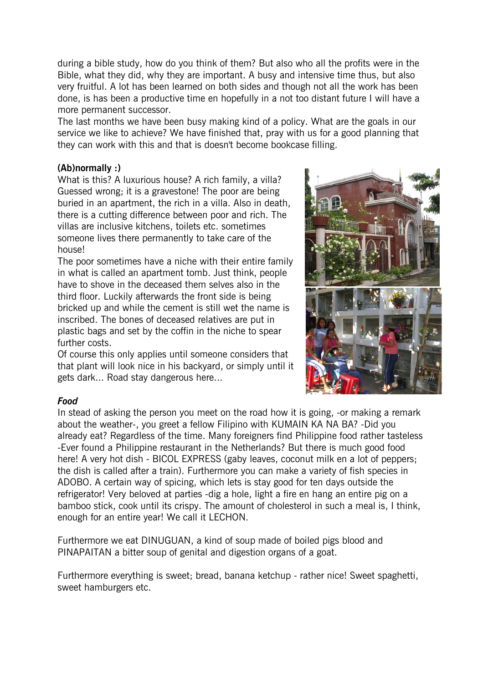during a bible study, how do you think of them? But also who all the profits were in the Bible, what they did, why they are important. A busy and intensive time thus, but also very fruitful. A lot has been learned on both sides and though not all the work has been done, is has been a productive time en hopefully in a not too distant future I will have a more permanent successor.

The last months we have been busy making kind of a policy. What are the goals in our service we like to achieve? We have finished that, pray with us for a good planning that they can work with this and that is doesn't become bookcase filling.

# (Ab)normally :)

What is this? A luxurious house? A rich family, a villa? Guessed wrong; it is a gravestone! The poor are being buried in an apartment, the rich in a villa. Also in death, there is a cutting difference between poor and rich. The villas are inclusive kitchens, toilets etc. sometimes someone lives there permanently to take care of the house!

The poor sometimes have a niche with their entire family in what is called an apartment tomb. Just think, people have to shove in the deceased them selves also in the third floor. Luckily afterwards the front side is being bricked up and while the cement is still wet the name is inscribed. The bones of deceased relatives are put in plastic bags and set by the coffin in the niche to spear further costs.

Of course this only applies until someone considers that that plant will look nice in his backyard, or simply until it gets dark... Road stay dangerous here...



### Food

In stead of asking the person you meet on the road how it is going, -or making a remark about the weather-, you greet a fellow Filipino with KUMAIN KA NA BA? -Did you already eat? Regardless of the time. Many foreigners find Philippine food rather tasteless -Ever found a Philippine restaurant in the Netherlands? But there is much good food here! A very hot dish - BICOL EXPRESS (gaby leaves, coconut milk en a lot of peppers; the dish is called after a train). Furthermore you can make a variety of fish species in ADOBO. A certain way of spicing, which lets is stay good for ten days outside the refrigerator! Very beloved at parties -dig a hole, light a fire en hang an entire pig on a bamboo stick, cook until its crispy. The amount of cholesterol in such a meal is, I think, enough for an entire year! We call it LECHON.

Furthermore we eat DINUGUAN, a kind of soup made of boiled pigs blood and PINAPAITAN a bitter soup of genital and digestion organs of a goat.

Furthermore everything is sweet; bread, banana ketchup - rather nice! Sweet spaghetti, sweet hamburgers etc.